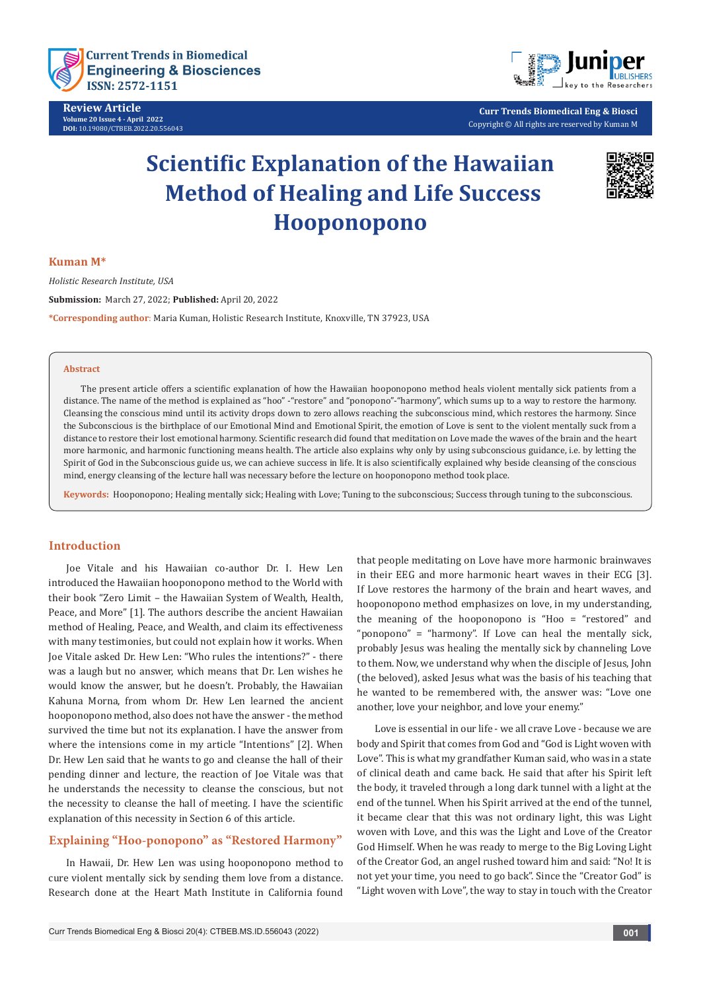

**Review Article Volume 20 Issue 4 - April 2022 DOI:** [10.19080/CTBEB.2022.20.556043](http://dx.doi.org/10.19080/CTBEB.2022.20.556043)



**Curr Trends Biomedical Eng & Biosci** Copyright © All rights are reserved by Kuman M

# **Scientific Explanation of the Hawaiian Method of Healing and Life Success Hooponopono**



#### **Kuman M\***

*Holistic Research Institute, USA*

**Submission:** March 27, 2022; **Published:** April 20, 2022

**\*Corresponding author**: Maria Kuman, Holistic Research Institute, Knoxville, TN 37923, USA

#### **Abstract**

The present article offers a scientific explanation of how the Hawaiian hooponopono method heals violent mentally sick patients from a distance. The name of the method is explained as "hoo" -"restore" and "ponopono"-"harmony", which sums up to a way to restore the harmony. Cleansing the conscious mind until its activity drops down to zero allows reaching the subconscious mind, which restores the harmony. Since the Subconscious is the birthplace of our Emotional Mind and Emotional Spirit, the emotion of Love is sent to the violent mentally suck from a distance to restore their lost emotional harmony. Scientific research did found that meditation on Love made the waves of the brain and the heart more harmonic, and harmonic functioning means health. The article also explains why only by using subconscious guidance, i.e. by letting the Spirit of God in the Subconscious guide us, we can achieve success in life. It is also scientifically explained why beside cleansing of the conscious mind, energy cleansing of the lecture hall was necessary before the lecture on hooponopono method took place.

**Keywords:** Hooponopono; Healing mentally sick; Healing with Love; Tuning to the subconscious; Success through tuning to the subconscious.

## **Introduction**

Joe Vitale and his Hawaiian co-author Dr. I. Hew Len introduced the Hawaiian hooponopono method to the World with their book "Zero Limit – the Hawaiian System of Wealth, Health, Peace, and More" [1]. The authors describe the ancient Hawaiian method of Healing, Peace, and Wealth, and claim its effectiveness with many testimonies, but could not explain how it works. When Joe Vitale asked Dr. Hew Len: "Who rules the intentions?" - there was a laugh but no answer, which means that Dr. Len wishes he would know the answer, but he doesn't. Probably, the Hawaiian Kahuna Morna, from whom Dr. Hew Len learned the ancient hooponopono method, also does not have the answer - the method survived the time but not its explanation. I have the answer from where the intensions come in my article "Intentions" [2]. When Dr. Hew Len said that he wants to go and cleanse the hall of their pending dinner and lecture, the reaction of Joe Vitale was that he understands the necessity to cleanse the conscious, but not the necessity to cleanse the hall of meeting. I have the scientific explanation of this necessity in Section 6 of this article.

## **Explaining "Hoo-ponopono" as "Restored Harmony"**

In Hawaii, Dr. Hew Len was using hooponopono method to cure violent mentally sick by sending them love from a distance. Research done at the Heart Math Institute in California found

that people meditating on Love have more harmonic brainwaves in their EEG and more harmonic heart waves in their ECG [3]. If Love restores the harmony of the brain and heart waves, and hooponopono method emphasizes on love, in my understanding, the meaning of the hooponopono is "Hoo = "restored" and "ponopono" = "harmony". If Love can heal the mentally sick, probably Jesus was healing the mentally sick by channeling Love to them. Now, we understand why when the disciple of Jesus, John (the beloved), asked Jesus what was the basis of his teaching that he wanted to be remembered with, the answer was: "Love one another, love your neighbor, and love your enemy."

Love is essential in our life - we all crave Love - because we are body and Spirit that comes from God and "God is Light woven with Love". This is what my grandfather Kuman said, who was in a state of clinical death and came back. He said that after his Spirit left the body, it traveled through a long dark tunnel with a light at the end of the tunnel. When his Spirit arrived at the end of the tunnel, it became clear that this was not ordinary light, this was Light woven with Love, and this was the Light and Love of the Creator God Himself. When he was ready to merge to the Big Loving Light of the Creator God, an angel rushed toward him and said: "No! It is not yet your time, you need to go back". Since the "Creator God" is "Light woven with Love", the way to stay in touch with the Creator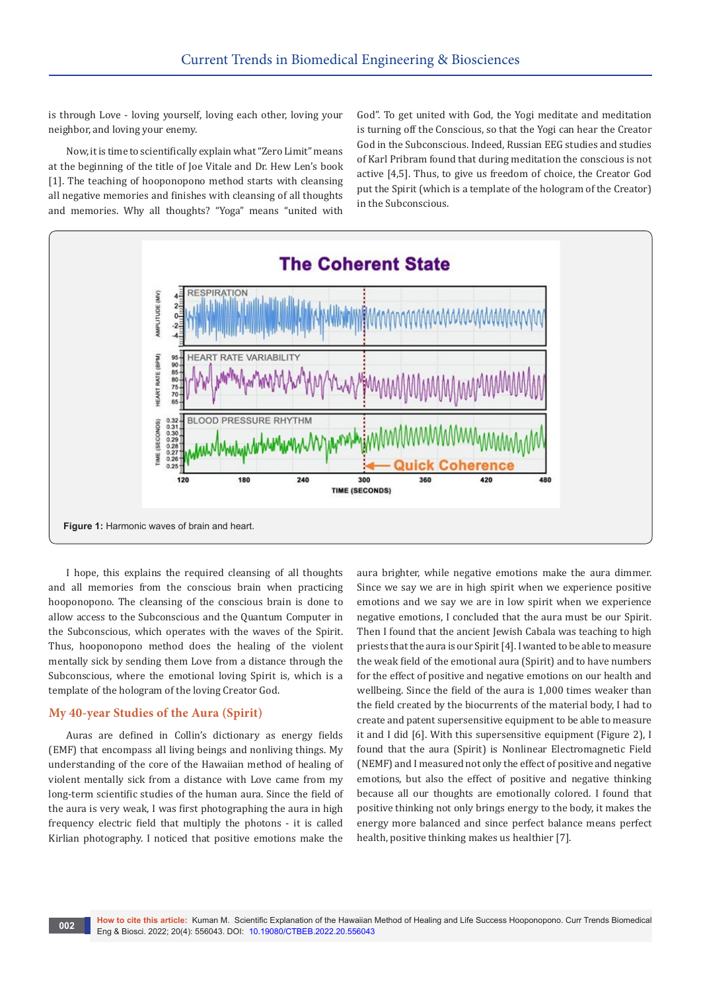is through Love - loving yourself, loving each other, loving your neighbor, and loving your enemy.

Now, it is time to scientifically explain what "Zero Limit" means at the beginning of the title of Joe Vitale and Dr. Hew Len's book [1]. The teaching of hooponopono method starts with cleansing all negative memories and finishes with cleansing of all thoughts and memories. Why all thoughts? "Yoga" means "united with

God". To get united with God, the Yogi meditate and meditation is turning off the Conscious, so that the Yogi can hear the Creator God in the Subconscious. Indeed, Russian EEG studies and studies of Karl Pribram found that during meditation the conscious is not active [4,5]. Thus, to give us freedom of choice, the Creator God put the Spirit (which is a template of the hologram of the Creator) in the Subconscious.



I hope, this explains the required cleansing of all thoughts and all memories from the conscious brain when practicing hooponopono. The cleansing of the conscious brain is done to allow access to the Subconscious and the Quantum Computer in the Subconscious, which operates with the waves of the Spirit. Thus, hooponopono method does the healing of the violent mentally sick by sending them Love from a distance through the Subconscious, where the emotional loving Spirit is, which is a template of the hologram of the loving Creator God.

## **My 40-year Studies of the Aura (Spirit)**

Auras are defined in Collin's dictionary as energy fields (EMF) that encompass all living beings and nonliving things. My understanding of the core of the Hawaiian method of healing of violent mentally sick from a distance with Love came from my long-term scientific studies of the human aura. Since the field of the aura is very weak, I was first photographing the aura in high frequency electric field that multiply the photons - it is called Kirlian photography. I noticed that positive emotions make the

aura brighter, while negative emotions make the aura dimmer. Since we say we are in high spirit when we experience positive emotions and we say we are in low spirit when we experience negative emotions, I concluded that the aura must be our Spirit. Then I found that the ancient Jewish Cabala was teaching to high priests that the aura is our Spirit [4]. I wanted to be able to measure the weak field of the emotional aura (Spirit) and to have numbers for the effect of positive and negative emotions on our health and wellbeing. Since the field of the aura is 1,000 times weaker than the field created by the biocurrents of the material body, I had to create and patent supersensitive equipment to be able to measure it and I did [6]. With this supersensitive equipment (Figure 2), I found that the aura (Spirit) is Nonlinear Electromagnetic Field (NEMF) and I measured not only the effect of positive and negative emotions, but also the effect of positive and negative thinking because all our thoughts are emotionally colored. I found that positive thinking not only brings energy to the body, it makes the energy more balanced and since perfect balance means perfect health, positive thinking makes us healthier [7].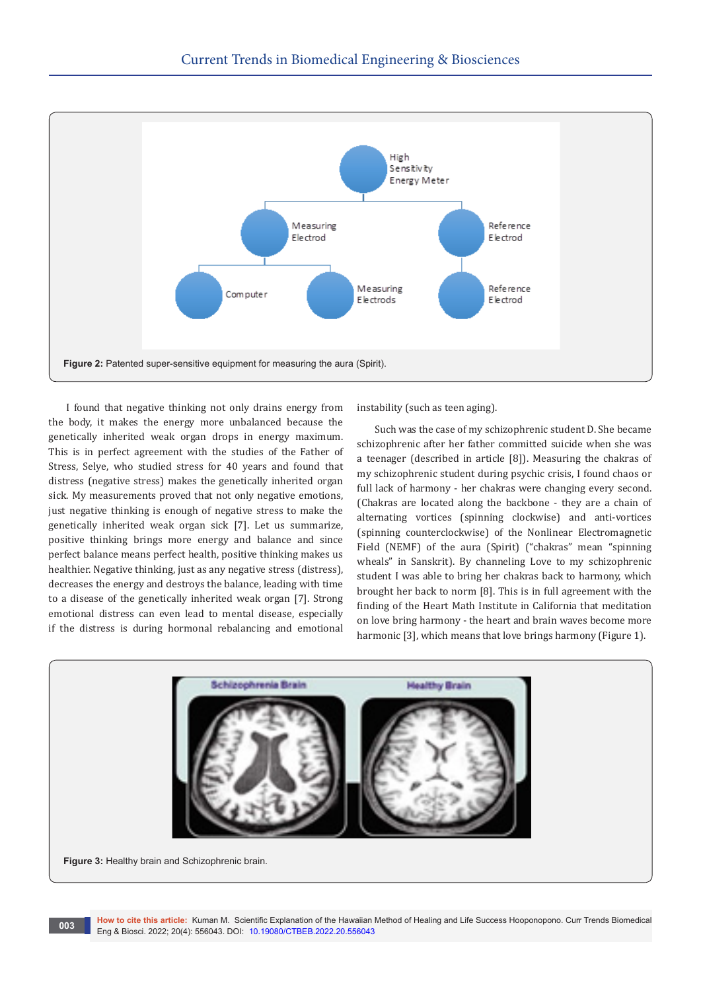

I found that negative thinking not only drains energy from the body, it makes the energy more unbalanced because the genetically inherited weak organ drops in energy maximum. This is in perfect agreement with the studies of the Father of Stress, Selye, who studied stress for 40 years and found that distress (negative stress) makes the genetically inherited organ sick. My measurements proved that not only negative emotions, just negative thinking is enough of negative stress to make the genetically inherited weak organ sick [7]. Let us summarize, positive thinking brings more energy and balance and since perfect balance means perfect health, positive thinking makes us healthier. Negative thinking, just as any negative stress (distress), decreases the energy and destroys the balance, leading with time to a disease of the genetically inherited weak organ [7]. Strong emotional distress can even lead to mental disease, especially if the distress is during hormonal rebalancing and emotional instability (such as teen aging).

Such was the case of my schizophrenic student D. She became schizophrenic after her father committed suicide when she was a teenager (described in article [8]). Measuring the chakras of my schizophrenic student during psychic crisis, I found chaos or full lack of harmony - her chakras were changing every second. (Chakras are located along the backbone - they are a chain of alternating vortices (spinning clockwise) and anti-vortices (spinning counterclockwise) of the Nonlinear Electromagnetic Field (NEMF) of the aura (Spirit) ("chakras" mean "spinning wheals" in Sanskrit). By channeling Love to my schizophrenic student I was able to bring her chakras back to harmony, which brought her back to norm [8]. This is in full agreement with the finding of the Heart Math Institute in California that meditation on love bring harmony - the heart and brain waves become more harmonic [3], which means that love brings harmony (Figure 1).

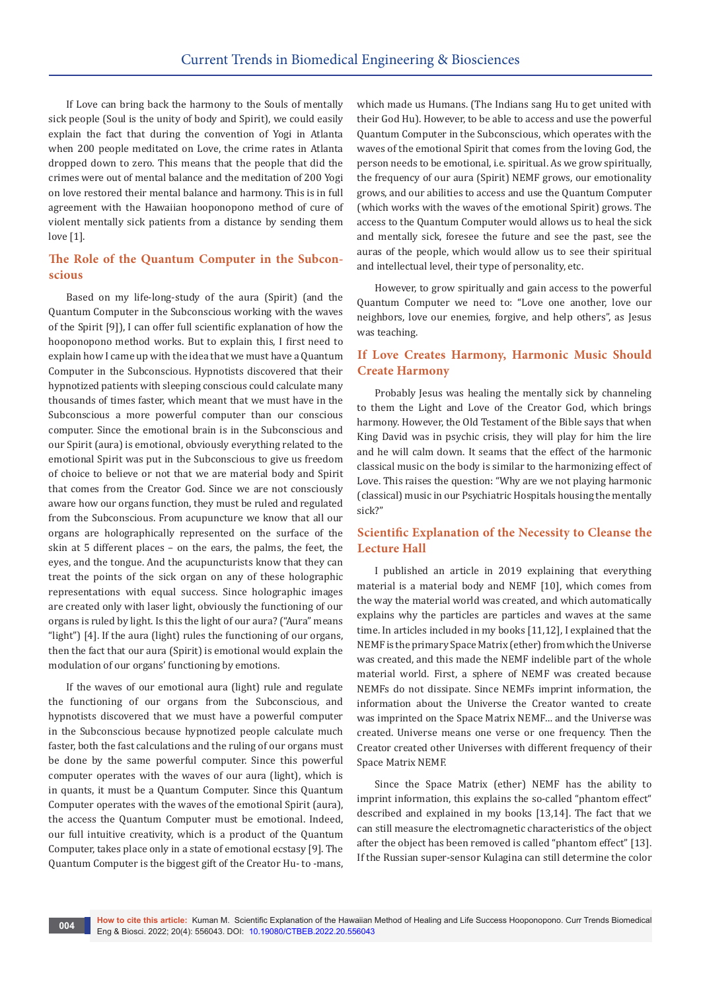If Love can bring back the harmony to the Souls of mentally sick people (Soul is the unity of body and Spirit), we could easily explain the fact that during the convention of Yogi in Atlanta when 200 people meditated on Love, the crime rates in Atlanta dropped down to zero. This means that the people that did the crimes were out of mental balance and the meditation of 200 Yogi on love restored their mental balance and harmony. This is in full agreement with the Hawaiian hooponopono method of cure of violent mentally sick patients from a distance by sending them love [1].

# **The Role of the Quantum Computer in the Subconscious**

Based on my life-long-study of the aura (Spirit) (and the Quantum Computer in the Subconscious working with the waves of the Spirit [9]), I can offer full scientific explanation of how the hooponopono method works. But to explain this, I first need to explain how I came up with the idea that we must have a Quantum Computer in the Subconscious. Hypnotists discovered that their hypnotized patients with sleeping conscious could calculate many thousands of times faster, which meant that we must have in the Subconscious a more powerful computer than our conscious computer. Since the emotional brain is in the Subconscious and our Spirit (aura) is emotional, obviously everything related to the emotional Spirit was put in the Subconscious to give us freedom of choice to believe or not that we are material body and Spirit that comes from the Creator God. Since we are not consciously aware how our organs function, they must be ruled and regulated from the Subconscious. From acupuncture we know that all our organs are holographically represented on the surface of the skin at 5 different places – on the ears, the palms, the feet, the eyes, and the tongue. And the acupuncturists know that they can treat the points of the sick organ on any of these holographic representations with equal success. Since holographic images are created only with laser light, obviously the functioning of our organs is ruled by light. Is this the light of our aura? ("Aura" means "light") [4]. If the aura (light) rules the functioning of our organs, then the fact that our aura (Spirit) is emotional would explain the modulation of our organs' functioning by emotions.

If the waves of our emotional aura (light) rule and regulate the functioning of our organs from the Subconscious, and hypnotists discovered that we must have a powerful computer in the Subconscious because hypnotized people calculate much faster, both the fast calculations and the ruling of our organs must be done by the same powerful computer. Since this powerful computer operates with the waves of our aura (light), which is in quants, it must be a Quantum Computer. Since this Quantum Computer operates with the waves of the emotional Spirit (aura), the access the Quantum Computer must be emotional. Indeed, our full intuitive creativity, which is a product of the Quantum Computer, takes place only in a state of emotional ecstasy [9]. The Quantum Computer is the biggest gift of the Creator Hu- to -mans,

which made us Humans. (The Indians sang Hu to get united with their God Hu). However, to be able to access and use the powerful Quantum Computer in the Subconscious, which operates with the waves of the emotional Spirit that comes from the loving God, the person needs to be emotional, i.e. spiritual. As we grow spiritually, the frequency of our aura (Spirit) NEMF grows, our emotionality grows, and our abilities to access and use the Quantum Computer (which works with the waves of the emotional Spirit) grows. The access to the Quantum Computer would allows us to heal the sick and mentally sick, foresee the future and see the past, see the auras of the people, which would allow us to see their spiritual and intellectual level, their type of personality, etc.

However, to grow spiritually and gain access to the powerful Quantum Computer we need to: "Love one another, love our neighbors, love our enemies, forgive, and help others", as Jesus was teaching.

# **If Love Creates Harmony, Harmonic Music Should Create Harmony**

Probably Jesus was healing the mentally sick by channeling to them the Light and Love of the Creator God, which brings harmony. However, the Old Testament of the Bible says that when King David was in psychic crisis, they will play for him the lire and he will calm down. It seams that the effect of the harmonic classical music on the body is similar to the harmonizing effect of Love. This raises the question: "Why are we not playing harmonic (classical) music in our Psychiatric Hospitals housing the mentally sick?"

## **Scientific Explanation of the Necessity to Cleanse the Lecture Hall**

I published an article in 2019 explaining that everything material is a material body and NEMF [10], which comes from the way the material world was created, and which automatically explains why the particles are particles and waves at the same time. In articles included in my books [11,12], I explained that the NEMF is the primary Space Matrix (ether) from which the Universe was created, and this made the NEMF indelible part of the whole material world. First, a sphere of NEMF was created because NEMFs do not dissipate. Since NEMFs imprint information, the information about the Universe the Creator wanted to create was imprinted on the Space Matrix NEMF… and the Universe was created. Universe means one verse or one frequency. Then the Creator created other Universes with different frequency of their Space Matrix NEMF.

Since the Space Matrix (ether) NEMF has the ability to imprint information, this explains the so-called "phantom effect" described and explained in my books [13,14]. The fact that we can still measure the electromagnetic characteristics of the object after the object has been removed is called "phantom effect" [13]. If the Russian super-sensor Kulagina can still determine the color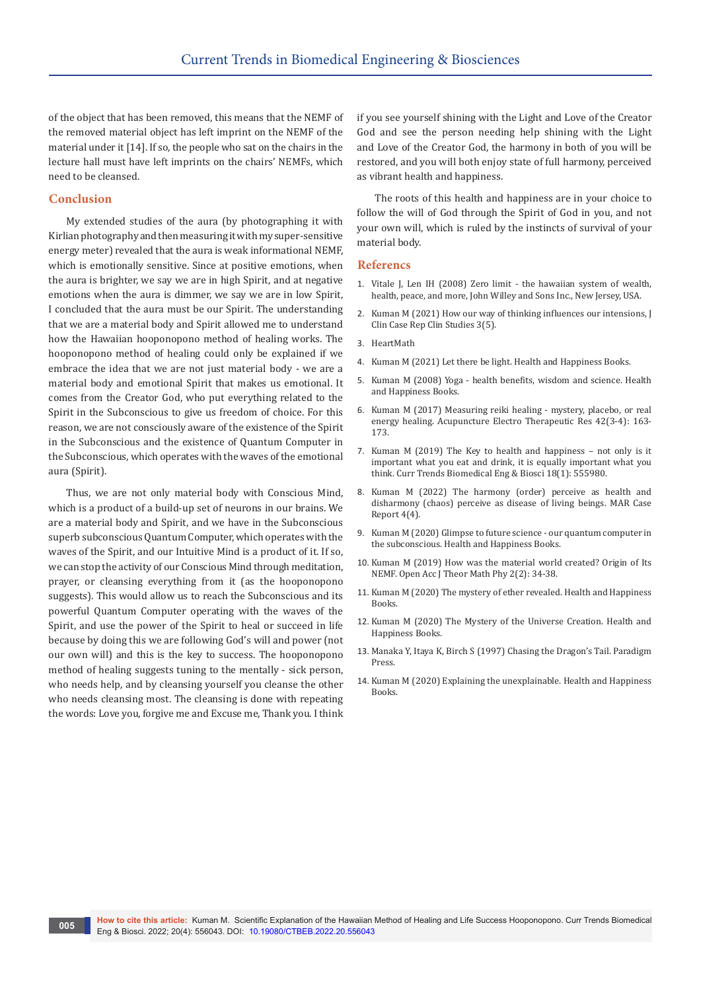of the object that has been removed, this means that the NEMF of the removed material object has left imprint on the NEMF of the material under it [14]. If so, the people who sat on the chairs in the lecture hall must have left imprints on the chairs' NEMFs, which need to be cleansed.

## **Conclusion**

My extended studies of the aura (by photographing it with Kirlian photography and then measuring it with my super-sensitive energy meter) revealed that the aura is weak informational NEMF, which is emotionally sensitive. Since at positive emotions, when the aura is brighter, we say we are in high Spirit, and at negative emotions when the aura is dimmer, we say we are in low Spirit, I concluded that the aura must be our Spirit. The understanding that we are a material body and Spirit allowed me to understand how the Hawaiian hooponopono method of healing works. The hooponopono method of healing could only be explained if we embrace the idea that we are not just material body - we are a material body and emotional Spirit that makes us emotional. It comes from the Creator God, who put everything related to the Spirit in the Subconscious to give us freedom of choice. For this reason, we are not consciously aware of the existence of the Spirit in the Subconscious and the existence of Quantum Computer in the Subconscious, which operates with the waves of the emotional aura (Spirit).

Thus, we are not only material body with Conscious Mind, which is a product of a build-up set of neurons in our brains. We are a material body and Spirit, and we have in the Subconscious superb subconscious Quantum Computer, which operates with the waves of the Spirit, and our Intuitive Mind is a product of it. If so, we can stop the activity of our Conscious Mind through meditation, prayer, or cleansing everything from it (as the hooponopono suggests). This would allow us to reach the Subconscious and its powerful Quantum Computer operating with the waves of the Spirit, and use the power of the Spirit to heal or succeed in life because by doing this we are following God's will and power (not our own will) and this is the key to success. The hooponopono method of healing suggests tuning to the mentally - sick person, who needs help, and by cleansing yourself you cleanse the other who needs cleansing most. The cleansing is done with repeating the words: Love you, forgive me and Excuse me, Thank you. I think if you see yourself shining with the Light and Love of the Creator God and see the person needing help shining with the Light and Love of the Creator God, the harmony in both of you will be restored, and you will both enjoy state of full harmony, perceived as vibrant health and happiness.

The roots of this health and happiness are in your choice to follow the will of God through the Spirit of God in you, and not your own will, which is ruled by the instincts of survival of your material body.

#### **Referencs**

- 1. [Vitale J, Len IH \(2008\) Zero limit the hawaiian system of wealth,](https://www.google.co.in/books/edition/Zero_Limits/ncks02CvjfUC?hl=en&gbpv=1&dq=Zero+Limit+%E2%80%93+the+Hawaiian+System+of+Wealth.+2008&printsec=frontcover)  [health, peace, and more, John Willey and Sons Inc., New Jersey, USA.](https://www.google.co.in/books/edition/Zero_Limits/ncks02CvjfUC?hl=en&gbpv=1&dq=Zero+Limit+%E2%80%93+the+Hawaiian+System+of+Wealth.+2008&printsec=frontcover)
- 2. Kuman M (2021) How our way of thinking influences our intensions, J Clin Case Rep Clin Studies 3(5).
- 3. HeartMath
- 4. Kuman M (2021) Let there be light. Health and Happiness Books.
- 5. Kuman M (2008) Yoga health benefits, wisdom and science. Health and Happiness Books.
- 6. [Kuman M \(2017\) Measuring reiki healing mystery, placebo, or real](https://www.ingentaconnect.com/content/cog/aetr/2017/00000042/00000003/art00001;jsessionid=edkrkoju711.x-ic-live-01)  [energy healing. Acupuncture Electro Therapeutic Res 42\(3-4\): 163-](https://www.ingentaconnect.com/content/cog/aetr/2017/00000042/00000003/art00001;jsessionid=edkrkoju711.x-ic-live-01) [173.](https://www.ingentaconnect.com/content/cog/aetr/2017/00000042/00000003/art00001;jsessionid=edkrkoju711.x-ic-live-01)
- 7. [Kuman M \(2019\) The Key to health and happiness not only is it](https://juniperpublishers.com/ctbeb/CTBEB.MS.ID.555980.php)  [important what you eat and drink, it is equally important what you](https://juniperpublishers.com/ctbeb/CTBEB.MS.ID.555980.php)  [think. Curr Trends Biomedical Eng & Biosci 18\(1\): 555980.](https://juniperpublishers.com/ctbeb/CTBEB.MS.ID.555980.php)
- 8. Kuman M (2022) The harmony (order) perceive as health and disharmony (chaos) perceive as disease of living beings. MAR Case Report 4(4).
- 9. Kuman M (2020) Glimpse to future science our quantum computer in the subconscious. Health and Happiness Books.
- 10. [Kuman M \(2019\) How was the material world created? Origin of Its](https://medcraveonline.com/OAJMTP/OAJMTP-02-00050.pdf)  [NEMF. Open Acc J Theor Math Phy 2\(2\): 34-38.](https://medcraveonline.com/OAJMTP/OAJMTP-02-00050.pdf)
- 11. Kuman M (2020) The mystery of ether revealed. Health and Happiness Books.
- 12. Kuman M (2020) The Mystery of the Universe Creation. Health and Happiness Books.
- 13. [Manaka Y, Itaya K, Birch S \(1997\) Chasing the Dragon's Tail. Paradigm](https://www.amazon.com/Chasing-Dragons-Tail-Practice-Acupuncture-dp-0912111534/dp/0912111534/ref=mt_other?_encoding=UTF8&me=&qid=)  [Press.](https://www.amazon.com/Chasing-Dragons-Tail-Practice-Acupuncture-dp-0912111534/dp/0912111534/ref=mt_other?_encoding=UTF8&me=&qid=)
- 14. Kuman M (2020) Explaining the unexplainable. Health and Happiness Books.